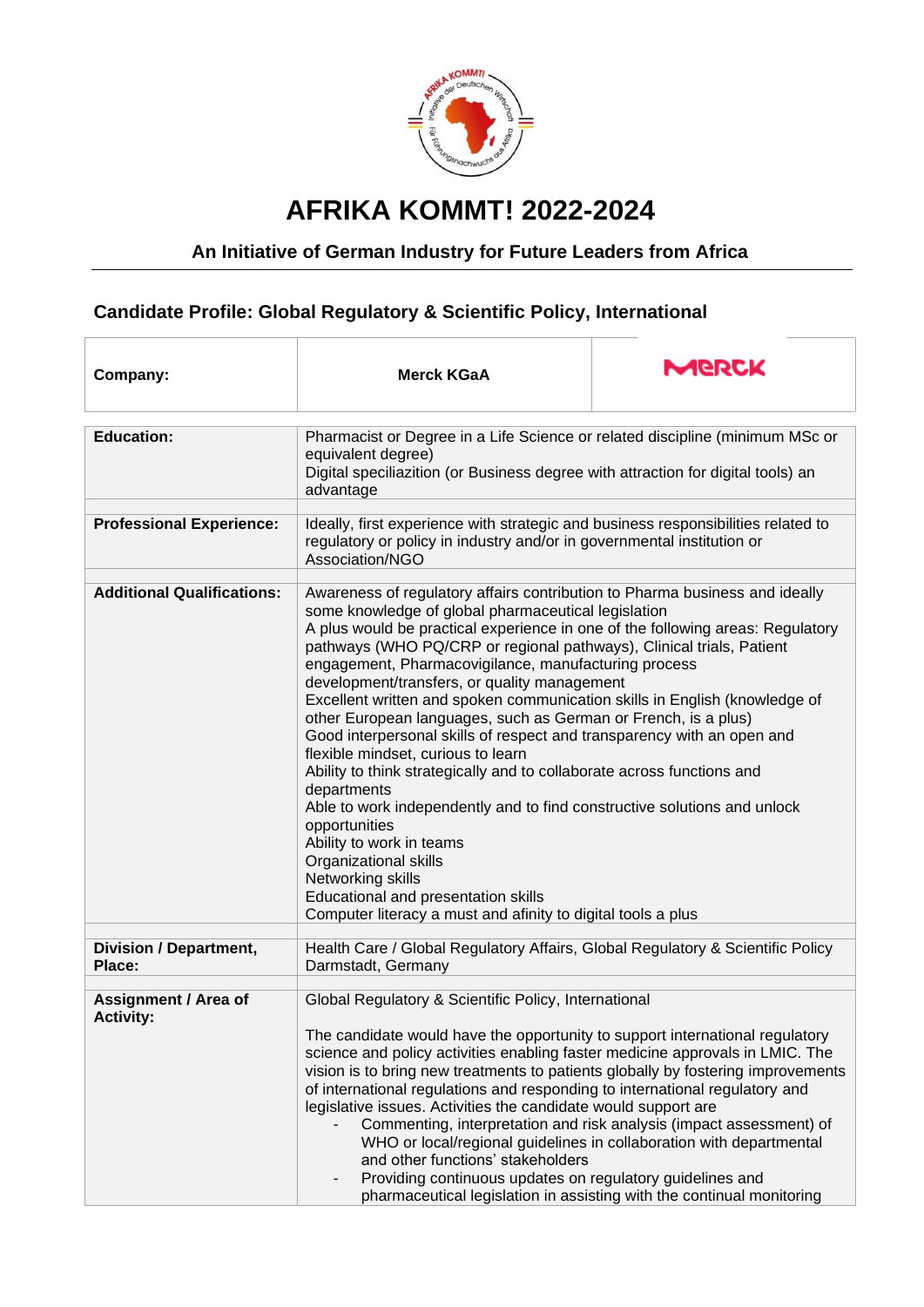

## **AFRIKA KOMMT! 2022-2024**

## **An Initiative of German Industry for Future Leaders from Africa**

## **Candidate Profile: Global Regulatory & Scientific Policy, International**

| Company:                                        | <b>Merck KGaA</b>                                                                                                                                                                                                                                                                                                                                                                                                                                                                                                                                                                                                                                                                                                                                                                                                                                                                                                                                                                                                                           | MGRCK                                                                                                                                                                                                               |
|-------------------------------------------------|---------------------------------------------------------------------------------------------------------------------------------------------------------------------------------------------------------------------------------------------------------------------------------------------------------------------------------------------------------------------------------------------------------------------------------------------------------------------------------------------------------------------------------------------------------------------------------------------------------------------------------------------------------------------------------------------------------------------------------------------------------------------------------------------------------------------------------------------------------------------------------------------------------------------------------------------------------------------------------------------------------------------------------------------|---------------------------------------------------------------------------------------------------------------------------------------------------------------------------------------------------------------------|
| <b>Education:</b>                               | Pharmacist or Degree in a Life Science or related discipline (minimum MSc or<br>equivalent degree)<br>Digital speciliazition (or Business degree with attraction for digital tools) an<br>advantage                                                                                                                                                                                                                                                                                                                                                                                                                                                                                                                                                                                                                                                                                                                                                                                                                                         |                                                                                                                                                                                                                     |
| <b>Professional Experience:</b>                 | Ideally, first experience with strategic and business responsibilities related to<br>regulatory or policy in industry and/or in governmental institution or<br>Association/NGO                                                                                                                                                                                                                                                                                                                                                                                                                                                                                                                                                                                                                                                                                                                                                                                                                                                              |                                                                                                                                                                                                                     |
| <b>Additional Qualifications:</b>               | Awareness of regulatory affairs contribution to Pharma business and ideally<br>some knowledge of global pharmaceutical legislation<br>A plus would be practical experience in one of the following areas: Regulatory<br>pathways (WHO PQ/CRP or regional pathways), Clinical trials, Patient<br>engagement, Pharmacovigilance, manufacturing process<br>development/transfers, or quality management<br>Excellent written and spoken communication skills in English (knowledge of<br>other European languages, such as German or French, is a plus)<br>Good interpersonal skills of respect and transparency with an open and<br>flexible mindset, curious to learn<br>Ability to think strategically and to collaborate across functions and<br>departments<br>Able to work independently and to find constructive solutions and unlock<br>opportunities<br>Ability to work in teams<br>Organizational skills<br>Networking skills<br>Educational and presentation skills<br>Computer literacy a must and afinity to digital tools a plus |                                                                                                                                                                                                                     |
| <b>Division / Department,</b><br>Place:         | Health Care / Global Regulatory Affairs, Global Regulatory & Scientific Policy<br>Darmstadt, Germany                                                                                                                                                                                                                                                                                                                                                                                                                                                                                                                                                                                                                                                                                                                                                                                                                                                                                                                                        |                                                                                                                                                                                                                     |
| <b>Assignment / Area of</b><br><b>Activity:</b> | Global Regulatory & Scientific Policy, International<br>The candidate would have the opportunity to support international regulatory<br>science and policy activities enabling faster medicine approvals in LMIC. The<br>vision is to bring new treatments to patients globally by fostering improvements<br>of international regulations and responding to international regulatory and<br>legislative issues. Activities the candidate would support are<br>and other functions' stakeholders<br>Providing continuous updates on regulatory guidelines and                                                                                                                                                                                                                                                                                                                                                                                                                                                                                | Commenting, interpretation and risk analysis (impact assessment) of<br>WHO or local/regional guidelines in collaboration with departmental<br>pharmaceutical legislation in assisting with the continual monitoring |